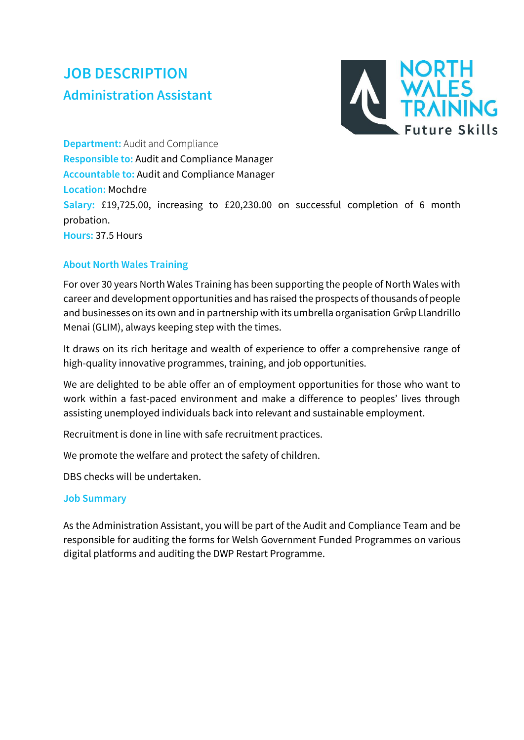# **JOB DESCRIPTION Administration Assistant**



**Department:** Audit and Compliance **Responsible to:** Audit and Compliance Manager **Accountable to:** Audit and Compliance Manager **Location:** Mochdre **Salary:** £19,725.00, increasing to £20,230.00 on successful completion of 6 month probation. **Hours:** 37.5 Hours

# **About North Wales Training**

For over 30 years North Wales Training has been supporting the people of North Wales with career and development opportunities and has raised the prospects of thousands of people and businesses on its own and in partnership with its umbrella organisation Grŵp Llandrillo Menai (GLIM), always keeping step with the times.

It draws on its rich heritage and wealth of experience to offer a comprehensive range of high-quality innovative programmes, training, and job opportunities.

We are delighted to be able offer an of employment opportunities for those who want to work within a fast-paced environment and make a difference to peoples' lives through assisting unemployed individuals back into relevant and sustainable employment.

Recruitment is done in line with safe recruitment practices.

We promote the welfare and protect the safety of children.

DBS checks will be undertaken.

#### **Job Summary**

As the Administration Assistant, you will be part of the Audit and Compliance Team and be responsible for auditing the forms for Welsh Government Funded Programmes on various digital platforms and auditing the DWP Restart Programme.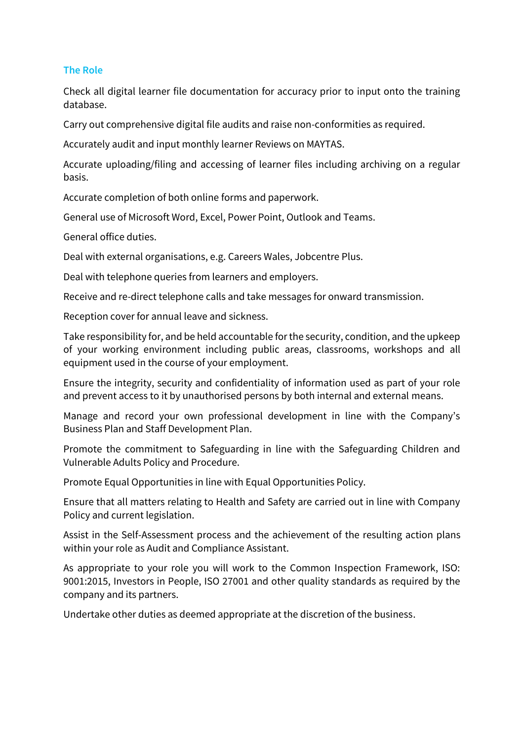### **The Role**

Check all digital learner file documentation for accuracy prior to input onto the training database.

Carry out comprehensive digital file audits and raise non-conformities as required.

Accurately audit and input monthly learner Reviews on MAYTAS.

Accurate uploading/filing and accessing of learner files including archiving on a regular basis.

Accurate completion of both online forms and paperwork.

General use of Microsoft Word, Excel, Power Point, Outlook and Teams.

General office duties.

Deal with external organisations, e.g. Careers Wales, Jobcentre Plus.

Deal with telephone queries from learners and employers.

Receive and re-direct telephone calls and take messages for onward transmission.

Reception cover for annual leave and sickness.

Take responsibility for, and be held accountable for the security, condition, and the upkeep of your working environment including public areas, classrooms, workshops and all equipment used in the course of your employment.

Ensure the integrity, security and confidentiality of information used as part of your role and prevent access to it by unauthorised persons by both internal and external means.

Manage and record your own professional development in line with the Company's Business Plan and Staff Development Plan.

Promote the commitment to Safeguarding in line with the Safeguarding Children and Vulnerable Adults Policy and Procedure.

Promote Equal Opportunities in line with Equal Opportunities Policy.

Ensure that all matters relating to Health and Safety are carried out in line with Company Policy and current legislation.

Assist in the Self-Assessment process and the achievement of the resulting action plans within your role as Audit and Compliance Assistant.

As appropriate to your role you will work to the Common Inspection Framework, ISO: 9001:2015, Investors in People, ISO 27001 and other quality standards as required by the company and its partners.

Undertake other duties as deemed appropriate at the discretion of the business.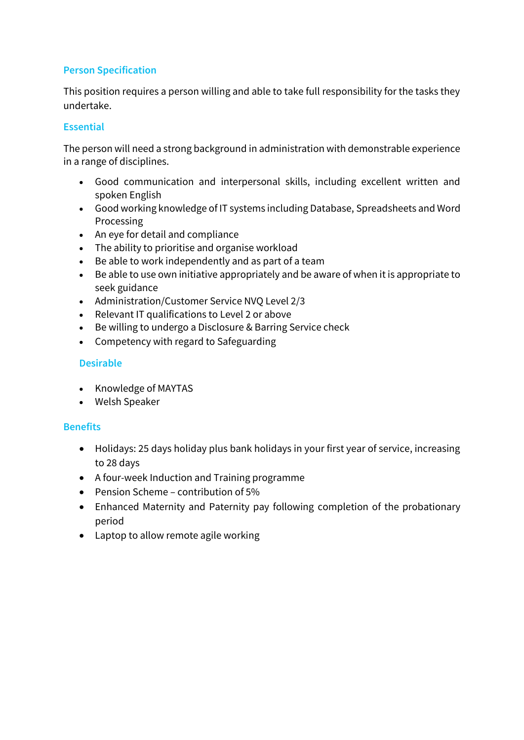# **Person Specification**

This position requires a person willing and able to take full responsibility for the tasks they undertake.

## **Essential**

The person will need a strong background in administration with demonstrable experience in a range of disciplines.

- Good communication and interpersonal skills, including excellent written and spoken English
- Good working knowledge of IT systems including Database, Spreadsheets and Word Processing
- An eye for detail and compliance
- The ability to prioritise and organise workload
- Be able to work independently and as part of a team
- Be able to use own initiative appropriately and be aware of when it is appropriate to seek guidance
- Administration/Customer Service NVQ Level 2/3
- Relevant IT qualifications to Level 2 or above
- Be willing to undergo a Disclosure & Barring Service check
- Competency with regard to Safeguarding

## **Desirable**

- Knowledge of MAYTAS
- Welsh Speaker

## **Benefits**

- Holidays: 25 days holiday plus bank holidays in your first year of service, increasing to 28 days
- A four-week Induction and Training programme
- Pension Scheme contribution of 5%
- Enhanced Maternity and Paternity pay following completion of the probationary period
- Laptop to allow remote agile working